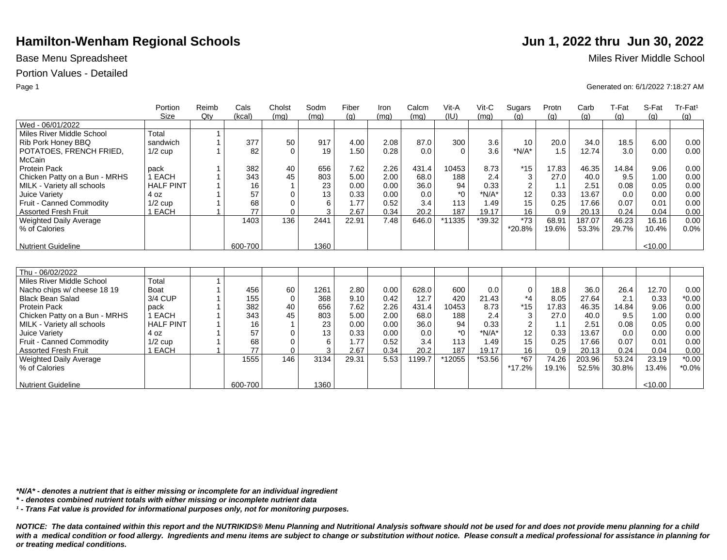## Portion Values - Detailed

|                               | Portion          | Reimb  | Cals    | Cholst      | Sodm | Fiber | Iron | Calcm  | Vit-A    | Vit-C   | Sugars         | Protn | Carb   | T-Fat | S-Fat   | Tr-Fat <sup>1</sup> |
|-------------------------------|------------------|--------|---------|-------------|------|-------|------|--------|----------|---------|----------------|-------|--------|-------|---------|---------------------|
|                               | Size             | $Q$ ty | (kcal)  | (mq)        | (mq) | (q)   | (mq) | (mq)   | (IU)     | (mq)    | (q)            | (q)   | (g)    | (g)   | (q)     | (g)                 |
| Wed - 06/01/2022              |                  |        |         |             |      |       |      |        |          |         |                |       |        |       |         |                     |
| Miles River Middle School     | Total            |        |         |             |      |       |      |        |          |         |                |       |        |       |         |                     |
| Rib Pork Honey BBQ            | sandwich         |        | 377     | 50          | 917  | 4.00  | 2.08 | 87.0   | 300      | 3.6     | 10             | 20.0  | 34.0   | 18.5  | 6.00    | 0.00                |
| POTATOES, FRENCH FRIED,       | $1/2$ cup        |        | 82      | $\Omega$    | 19   | 1.50  | 0.28 | 0.0    | $\Omega$ | 3.6     | $*N/A*$        | 1.5   | 12.74  | 3.0   | 0.00    | 0.00                |
| McCain                        |                  |        |         |             |      |       |      |        |          |         |                |       |        |       |         |                     |
| <b>Protein Pack</b>           | pack             |        | 382     | 40          | 656  | 7.62  | 2.26 | 431.4  | 10453    | 8.73    | $*15$          | 17.83 | 46.35  | 14.84 | 9.06    | 0.00                |
| Chicken Patty on a Bun - MRHS | 1 EACH           |        | 343     | 45          | 803  | 5.00  | 2.00 | 68.0   | 188      | 2.4     | 3              | 27.0  | 40.0   | 9.5   | 1.00    | 0.00                |
| MILK - Variety all schools    | <b>HALF PINT</b> |        | 16      |             | 23   | 0.00  | 0.00 | 36.0   | 94       | 0.33    | $\overline{2}$ | 1.1   | 2.51   | 0.08  | 0.05    | 0.00                |
| Juice Variety                 | 4 oz             |        | 57      | $\Omega$    | 13   | 0.33  | 0.00 | 0.0    | $*$ 0    | $*N/A*$ | 12             | 0.33  | 13.67  | 0.0   | 0.00    | 0.00                |
| Fruit - Canned Commodity      | $1/2$ cup        |        | 68      | 0           | 6    | 1.77  | 0.52 | 3.4    | 113      | 1.49    | 15             | 0.25  | 17.66  | 0.07  | 0.01    | 0.00                |
| <b>Assorted Fresh Fruit</b>   | 1 EACH           |        | 77      | $\Omega$    | 3    | 2.67  | 0.34 | 20.2   | 187      | 19.17   | 16             | 0.9   | 20.13  | 0.24  | 0.04    | 0.00                |
| Weighted Daily Average        |                  |        | 1403    | 136         | 2441 | 22.91 | 7.48 | 646.0  | *11335   | *39.32  | $*73$          | 68.91 | 187.07 | 46.23 | 16.16   | 0.00                |
| % of Calories                 |                  |        |         |             |      |       |      |        |          |         | *20.8%         | 19.6% | 53.3%  | 29.7% | 10.4%   | 0.0%                |
|                               |                  |        |         |             |      |       |      |        |          |         |                |       |        |       |         |                     |
| <b>Nutrient Guideline</b>     |                  |        | 600-700 |             | 1360 |       |      |        |          |         |                |       |        |       | < 10.00 |                     |
|                               |                  |        |         |             |      |       |      |        |          |         |                |       |        |       |         |                     |
|                               |                  |        |         |             |      |       |      |        |          |         |                |       |        |       |         |                     |
| Thu - 06/02/2022              |                  |        |         |             |      |       |      |        |          |         |                |       |        |       |         |                     |
| Miles River Middle School     | Total            |        |         |             |      |       |      |        |          |         |                |       |        |       |         |                     |
| Nacho chips w/ cheese 18 19   | Boat             |        | 456     | 60          | 1261 | 2.80  | 0.00 | 628.0  | 600      | 0.0     | $\mathbf 0$    | 18.8  | 36.0   | 26.4  | 12.70   | 0.00                |
| <b>Black Bean Salad</b>       | 3/4 CUP          |        | 155     | $\mathbf 0$ | 368  | 9.10  | 0.42 | 12.7   | 420      | 21.43   | $*_{4}$        | 8.05  | 27.64  | 2.1   | 0.33    | $*0.00$             |
| <b>Protein Pack</b>           | pack             |        | 382     | 40          | 656  | 7.62  | 2.26 | 431.4  | 10453    | 8.73    | $*15$          | 17.83 | 46.35  | 14.84 | 9.06    | 0.00                |
| Chicken Patty on a Bun - MRHS | 1 EACH           |        | 343     | 45          | 803  | 5.00  | 2.00 | 68.0   | 188      | 2.4     | 3              | 27.0  | 40.0   | 9.5   | 1.00    | 0.00                |
| MILK - Variety all schools    | <b>HALF PINT</b> |        | 16      |             | 23   | 0.00  | 0.00 | 36.0   | 94       | 0.33    | $\overline{2}$ | 1.1   | 2.51   | 0.08  | 0.05    | 0.00                |
| Juice Variety                 | 4 oz             |        | 57      | $\Omega$    | 13   | 0.33  | 0.00 | 0.0    | $^*$ 0   | $*N/A*$ | 12             | 0.33  | 13.67  | 0.0   | 0.00    | 0.00                |
| Fruit - Canned Commodity      | $1/2$ cup        |        | 68      | $\Omega$    | 6    | 1.77  | 0.52 | 3.4    | 113      | 1.49    | 15             | 0.25  | 17.66  | 0.07  | 0.01    | 0.00                |
| <b>Assorted Fresh Fruit</b>   | 1 EACH           |        | 77      | $\Omega$    | 3    | 2.67  | 0.34 | 20.2   | 187      | 19.17   | 16             | 0.9   | 20.13  | 0.24  | 0.04    | 0.00                |
| <b>Weighted Daily Average</b> |                  |        | 1555    | 146         | 3134 | 29.31 | 5.53 | 1199.7 | *12055   | *53.56  | $*67$          | 74.26 | 203.96 | 53.24 | 23.19   | $*0.00$             |
| % of Calories                 |                  |        |         |             |      |       |      |        |          |         | *17.2%         | 19.1% | 52.5%  | 30.8% | 13.4%   | $*0.0\%$            |
|                               |                  |        |         |             |      |       |      |        |          |         |                |       |        |       |         |                     |
| <b>Nutrient Guideline</b>     |                  |        | 600-700 |             | 1360 |       |      |        |          |         |                |       |        |       | < 10.00 |                     |

*\*N/A\* - denotes a nutrient that is either missing or incomplete for an individual ingredient*

*\* - denotes combined nutrient totals with either missing or incomplete nutrient data*

*¹ - Trans Fat value is provided for informational purposes only, not for monitoring purposes.*

*NOTICE: The data contained within this report and the NUTRIKIDS® Menu Planning and Nutritional Analysis software should not be used for and does not provide menu planning for a child*  with a medical condition or food allergy. Ingredients and menu items are subject to change or substitution without notice. Please consult a medical professional for assistance in planning for *or treating medical conditions.*

Base Menu Spreadsheet **Miles River Middle School** 

Page 1 Generated on: 6/1/2022 7:18:27 AM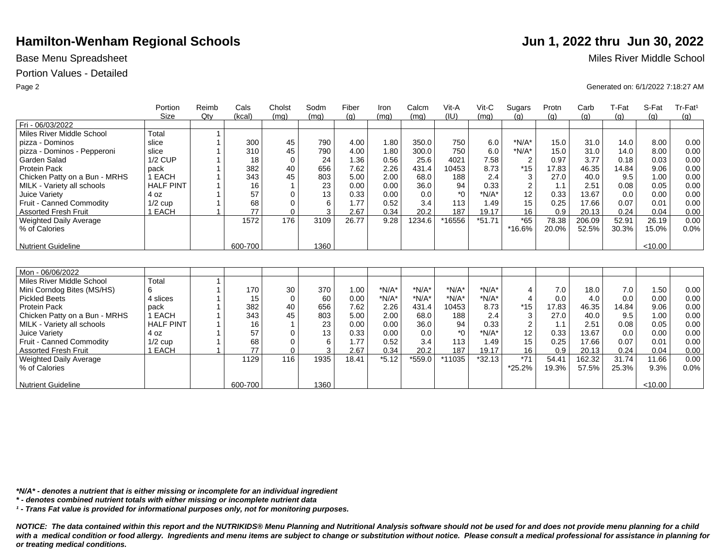## Portion Values - Detailed

|                               | Portion          | Reimb  | Cals    | Cholst      | Sodm | Fiber | Iron    | Calcm   | Vit-A        | Vit-C    | Sugars         | Protn | Carb   | T-Fat | S-Fat   | Tr-Fat <sup>1</sup> |
|-------------------------------|------------------|--------|---------|-------------|------|-------|---------|---------|--------------|----------|----------------|-------|--------|-------|---------|---------------------|
|                               | Size             | $Q$ ty | (kcal)  | (mq)        | (mq) | (q)   | (mq)    | (mq)    | (IU)         | (mq)     | (q)            | (q)   | (q)    | (g)   | (q)     | (g)                 |
| Fri - 06/03/2022              |                  |        |         |             |      |       |         |         |              |          |                |       |        |       |         |                     |
| Miles River Middle School     | Total            |        |         |             |      |       |         |         |              |          |                |       |        |       |         |                     |
| pizza - Dominos               | slice            |        | 300     | 45          | 790  | 4.00  | 1.80    | 350.0   | 750          | 6.0      | $*N/A*$        | 15.0  | 31.0   | 14.0  | 8.00    | 0.00                |
| pizza - Dominos - Pepperoni   | slice            |        | 310     | 45          | 790  | 4.00  | 1.80    | 300.0   | 750          | 6.0      | $*N/A*$        | 15.0  | 31.0   | 14.0  | 8.00    | 0.00                |
| Garden Salad                  | $1/2$ CUP        |        | 18      | $\mathbf 0$ | 24   | 1.36  | 0.56    | 25.6    | 4021         | 7.58     | $\overline{2}$ | 0.97  | 3.77   | 0.18  | 0.03    | 0.00                |
| <b>Protein Pack</b>           | pack             |        | 382     | 40          | 656  | 7.62  | 2.26    | 431.4   | 10453        | 8.73     | $*15$          | 17.83 | 46.35  | 14.84 | 9.06    | 0.00                |
| Chicken Patty on a Bun - MRHS | 1 EACH           |        | 343     | 45          | 803  | 5.00  | 2.00    | 68.0    | 188          | 2.4      | 3              | 27.0  | 40.0   | 9.5   | 1.00    | 0.00                |
| MILK - Variety all schools    | <b>HALF PINT</b> |        | 16      |             | 23   | 0.00  | 0.00    | 36.0    | 94           | 0.33     | $\overline{2}$ | 1.1   | 2.51   | 0.08  | 0.05    | 0.00                |
| <b>Juice Variety</b>          | 4 oz             |        | 57      | $\mathbf 0$ | 13   | 0.33  | 0.00    | 0.0     | $*$ $\Omega$ | $*N/A*$  | 12             | 0.33  | 13.67  | 0.0   | 0.00    | 0.00                |
| Fruit - Canned Commodity      | $1/2$ cup        |        | 68      | $\mathbf 0$ | 6    | 1.77  | 0.52    | 3.4     | 113          | 1.49     | 15             | 0.25  | 17.66  | 0.07  | 0.01    | 0.00                |
| <b>Assorted Fresh Fruit</b>   | 1 EACH           |        | 77      | $\Omega$    | 3    | 2.67  | 0.34    | 20.2    | 187          | 19.17    | 16             | 0.9   | 20.13  | 0.24  | 0.04    | 0.00                |
| <b>Weighted Daily Average</b> |                  |        | 1572    | 176         | 3109 | 26.77 | 9.28    | 1234.6  | *16556       | $*51.71$ | $*65$          | 78.38 | 206.09 | 52.91 | 26.19   | 0.00                |
| % of Calories                 |                  |        |         |             |      |       |         |         |              |          | *16.6%         | 20.0% | 52.5%  | 30.3% | 15.0%   | 0.0%                |
|                               |                  |        |         |             |      |       |         |         |              |          |                |       |        |       |         |                     |
| <b>Nutrient Guideline</b>     |                  |        | 600-700 |             | 1360 |       |         |         |              |          |                |       |        |       | < 10.00 |                     |
|                               |                  |        |         |             |      |       |         |         |              |          |                |       |        |       |         |                     |
|                               |                  |        |         |             |      |       |         |         |              |          |                |       |        |       |         |                     |
| Mon - 06/06/2022              |                  |        |         |             |      |       |         |         |              |          |                |       |        |       |         |                     |
| Miles River Middle School     | Total            |        |         |             |      |       |         |         |              |          |                |       |        |       |         |                     |
| Mini Corndog Bites (MS/HS)    | 6                |        | 170     | 30          | 370  | 1.00  | $*N/A*$ | $*N/A*$ | $*N/A*$      | $*N/A*$  | 4              | 7.0   | 18.0   | 7.0   | 1.50    | 0.00                |
| <b>Pickled Beets</b>          | 4 slices         |        | 15      | $\mathbf 0$ | 60   | 0.00  | $*N/A*$ | $*N/A*$ | $*N/A*$      | $*N/A*$  | 4              | 0.0   | 4.0    | 0.0   | 0.00    | 0.00                |
| Protein Pack                  | pack             |        | 382     | 40          | 656  | 7.62  | 2.26    | 431.4   | 10453        | 8.73     | $*15$          | 17.83 | 46.35  | 14.84 | 9.06    | 0.00                |
| Chicken Patty on a Bun - MRHS | 1 EACH           |        | 343     | 45          | 803  | 5.00  | 2.00    | 68.0    | 188          | 2.4      | 3              | 27.0  | 40.0   | 9.5   | 1.00    | 0.00                |
| MILK - Variety all schools    | <b>HALF PINT</b> |        | 16      |             | 23   | 0.00  | 0.00    | 36.0    | 94           | 0.33     | $\overline{2}$ | 1.1   | 2.51   | 0.08  | 0.05    | 0.00                |
| <b>Juice Variety</b>          | 4 oz             |        | 57      | $\mathbf 0$ | 13   | 0.33  | 0.00    | 0.0     | $*$ 0        | $*N/A*$  | 12             | 0.33  | 13.67  | 0.0   | 0.00    | 0.00                |
| Fruit - Canned Commodity      | $1/2$ cup        |        | 68      | $\mathbf 0$ | 6    | 1.77  | 0.52    | 3.4     | 113          | 1.49     | 15             | 0.25  | 17.66  | 0.07  | 0.01    | 0.00                |
| <b>Assorted Fresh Fruit</b>   | 1 EACH           |        | 77      | $\mathbf 0$ | 3    | 2.67  | 0.34    | 20.2    | 187          | 19.17    | 16             | 0.9   | 20.13  | 0.24  | 0.04    | 0.00                |
| <b>Weighted Daily Average</b> |                  |        | 1129    | 116         | 1935 | 18.41 | $*5.12$ | *559.0  | *11035       | $*32.13$ | $*71$          | 54.41 | 162.32 | 31.74 | 11.66   | 0.00                |
| % of Calories                 |                  |        |         |             |      |       |         |         |              |          | *25.2%         | 19.3% | 57.5%  | 25.3% | 9.3%    | 0.0%                |
|                               |                  |        |         |             |      |       |         |         |              |          |                |       |        |       |         |                     |
| <b>Nutrient Guideline</b>     |                  |        | 600-700 |             | 1360 |       |         |         |              |          |                |       |        |       | < 10.00 |                     |

*\*N/A\* - denotes a nutrient that is either missing or incomplete for an individual ingredient*

*\* - denotes combined nutrient totals with either missing or incomplete nutrient data*

*¹ - Trans Fat value is provided for informational purposes only, not for monitoring purposes.*

*NOTICE: The data contained within this report and the NUTRIKIDS® Menu Planning and Nutritional Analysis software should not be used for and does not provide menu planning for a child*  with a medical condition or food allergy. Ingredients and menu items are subject to change or substitution without notice. Please consult a medical professional for assistance in planning for *or treating medical conditions.*

Base Menu Spreadsheet **Miles River Middle School** 

Page 2 Generated on: 6/1/2022 7:18:27 AM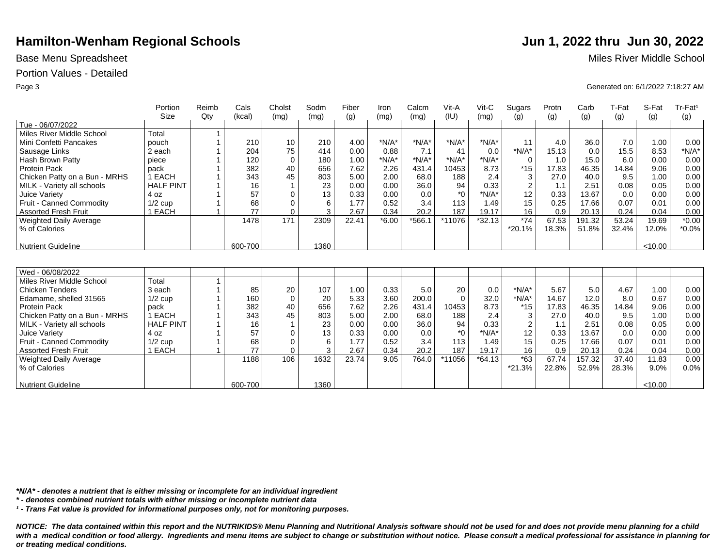## Portion Values - Detailed

|                               | Portion          | Reimb | Cals    | Cholst      | Sodm | Fiber | Iron    | Calcm   | Vit-A            | Vit-C    | Sugars         | Protn | Carb   | T-Fat | S-Fat   | Tr-Fat <sup>1</sup> |
|-------------------------------|------------------|-------|---------|-------------|------|-------|---------|---------|------------------|----------|----------------|-------|--------|-------|---------|---------------------|
|                               | Size             | Qtv   | (kcal)  | (ma)        | (mq) | (q)   | (mq)    | (mq)    | (IU)             | (mq)     | (q)            | (q)   | (g)    | (g)   | (g)     | (q)                 |
| Tue - 06/07/2022              |                  |       |         |             |      |       |         |         |                  |          |                |       |        |       |         |                     |
| Miles River Middle School     | Total            |       |         |             |      |       |         |         |                  |          |                |       |        |       |         |                     |
| Mini Confetti Pancakes        | pouch            |       | 210     | 10          | 210  | 4.00  | $*N/A*$ | $*N/A*$ | $*N/A*$          | $*N/A*$  | 11             | 4.0   | 36.0   | 7.0   | 1.00    | 0.00                |
| Sausage Links                 | 2 each           |       | 204     | 75          | 414  | 0.00  | 0.88    | 7.1     | 41               | 0.0      | $*N/A*$        | 15.13 | 0.0    | 15.5  | 8.53    | $*N/A*$             |
| Hash Brown Patty              | piece            |       | 120     | $\mathbf 0$ | 180  | 1.00  | $*N/A*$ | $*N/A*$ | $*N/A*$          | $*N/A*$  | $\mathbf 0$    | 1.0   | 15.0   | 6.0   | 0.00    | 0.00                |
| <b>Protein Pack</b>           | pack             |       | 382     | 40          | 656  | 7.62  | 2.26    | 431.4   | 10453            | 8.73     | $*15$          | 17.83 | 46.35  | 14.84 | 9.06    | 0.00                |
| Chicken Patty on a Bun - MRHS | 1 EACH           |       | 343     | 45          | 803  | 5.00  | 2.00    | 68.0    | 188              | 2.4      | 3              | 27.0  | 40.0   | 9.5   | 1.00    | 0.00                |
| MILK - Variety all schools    | <b>HALF PINT</b> |       | 16      |             | 23   | 0.00  | 0.00    | 36.0    | 94               | 0.33     | $\overline{2}$ | 1.1   | 2.51   | 0.08  | 0.05    | 0.00                |
| Juice Variety                 | 4 oz             |       | 57      | $\mathbf 0$ | 13   | 0.33  | 0.00    | 0.0     | $*_{0}$          | $*N/A*$  | 12             | 0.33  | 13.67  | 0.0   | 0.00    | 0.00                |
| Fruit - Canned Commodity      | $1/2$ cup        |       | 68      | 0           | 6    | 1.77  | 0.52    | 3.4     | 113              | 1.49     | 15             | 0.25  | 17.66  | 0.07  | 0.01    | 0.00                |
| <b>Assorted Fresh Fruit</b>   | 1 EACH           |       | 77      | $\Omega$    | 3    | 2.67  | 0.34    | 20.2    | 187              | 19.17    | 16             | 0.9   | 20.13  | 0.24  | 0.04    | 0.00                |
| <b>Weighted Daily Average</b> |                  |       | 1478    | 171         | 2309 | 22.41 | $*6.00$ | *566.1  | *11076           | $*32.13$ | $*74$          | 67.53 | 191.32 | 53.24 | 19.69   | $*0.00$             |
| % of Calories                 |                  |       |         |             |      |       |         |         |                  |          | *20.1%         | 18.3% | 51.8%  | 32.4% | 12.0%   | $*0.0\%$            |
|                               |                  |       |         |             |      |       |         |         |                  |          |                |       |        |       |         |                     |
| Nutrient Guideline            |                  |       | 600-700 |             | 1360 |       |         |         |                  |          |                |       |        |       | < 10.00 |                     |
|                               |                  |       |         |             |      |       |         |         |                  |          |                |       |        |       |         |                     |
|                               |                  |       |         |             |      |       |         |         |                  |          |                |       |        |       |         |                     |
| Wed - 06/08/2022              |                  |       |         |             |      |       |         |         |                  |          |                |       |        |       |         |                     |
| Miles River Middle School     | Total            |       |         |             |      |       |         |         |                  |          |                |       |        |       |         |                     |
| <b>Chicken Tenders</b>        | 3 each           |       | 85      | 20          | 107  | 1.00  | 0.33    | 5.0     | 20               | 0.0      | $*N/A*$        | 5.67  | 5.0    | 4.67  | 1.00    | 0.00                |
| Edamame, shelled 31565        | $1/2$ cup        |       | 160     | $\mathbf 0$ | 20   | 5.33  | 3.60    | 200.0   | $\Omega$         | 32.0     | $*N/A*$        | 14.67 | 12.0   | 8.0   | 0.67    | 0.00                |
| <b>Protein Pack</b>           | pack             |       | 382     | 40          | 656  | 7.62  | 2.26    | 431.4   | 10453            | 8.73     | $*15$          | 17.83 | 46.35  | 14.84 | 9.06    | 0.00                |
| Chicken Patty on a Bun - MRHS | 1 EACH           |       | 343     | 45          | 803  | 5.00  | 2.00    | 68.0    | 188              | 2.4      | 3              | 27.0  | 40.0   | 9.5   | 1.00    | 0.00                |
| MILK - Variety all schools    | <b>HALF PINT</b> |       | 16      |             | 23   | 0.00  | 0.00    | 36.0    | 94               | 0.33     | $\overline{2}$ | 1.1   | 2.51   | 0.08  | 0.05    | 0.00                |
| Juice Varietv                 | 4 oz             |       | 57      | $\Omega$    | 13   | 0.33  | 0.00    | 0.0     | $*$ <sup>0</sup> | $*N/A*$  | 12             | 0.33  | 13.67  | 0.0   | 0.00    | 0.00                |
| Fruit - Canned Commodity      | $1/2$ cup        |       | 68      | 0           | 6    | 1.77  | 0.52    | 3.4     | 113              | 1.49     | 15             | 0.25  | 17.66  | 0.07  | 0.01    | 0.00                |
| <b>Assorted Fresh Fruit</b>   | 1 EACH           |       | 77      | $\Omega$    | 3    | 2.67  | 0.34    | 20.2    | 187              | 19.17    | 16             | 0.9   | 20.13  | 0.24  | 0.04    | 0.00                |
| <b>Weighted Daily Average</b> |                  |       | 1188    | 106         | 1632 | 23.74 | 9.05    | 764.0   | *11056           | $*64.13$ | $*63$          | 67.74 | 157.32 | 37.40 | 11.83   | 0.00                |
| % of Calories                 |                  |       |         |             |      |       |         |         |                  |          | *21.3%         | 22.8% | 52.9%  | 28.3% | 9.0%    | 0.0%                |
|                               |                  |       |         |             |      |       |         |         |                  |          |                |       |        |       |         |                     |
| <b>Nutrient Guideline</b>     |                  |       | 600-700 |             | 1360 |       |         |         |                  |          |                |       |        |       | < 10.00 |                     |

*\*N/A\* - denotes a nutrient that is either missing or incomplete for an individual ingredient*

*\* - denotes combined nutrient totals with either missing or incomplete nutrient data*

*¹ - Trans Fat value is provided for informational purposes only, not for monitoring purposes.*

*NOTICE: The data contained within this report and the NUTRIKIDS® Menu Planning and Nutritional Analysis software should not be used for and does not provide menu planning for a child*  with a medical condition or food allergy. Ingredients and menu items are subject to change or substitution without notice. Please consult a medical professional for assistance in planning for *or treating medical conditions.*

Base Menu Spreadsheet **Miles River Middle School** 

Page 3 Generated on: 6/1/2022 7:18:27 AM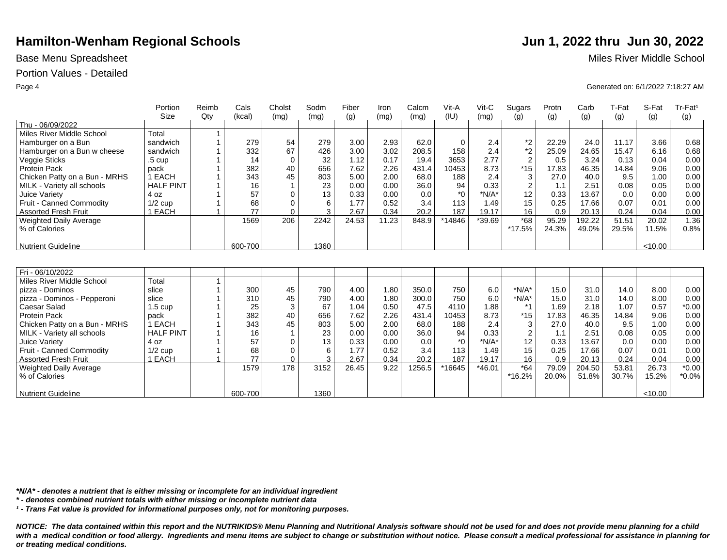## Portion Values - Detailed

|                               | Portion           | Reimb | Cals    | Cholst      | Sodm | Fiber | Iron  | Calcm  | Vit-A   | Vit-C    | Sugars         | Protn | Carb   | T-Fat | S-Fat   | Tr-Fat <sup>1</sup> |
|-------------------------------|-------------------|-------|---------|-------------|------|-------|-------|--------|---------|----------|----------------|-------|--------|-------|---------|---------------------|
|                               | <b>Size</b>       | Qty   | (kcal)  | (mq)        | (mq) | (q)   | (mq)  | (mq)   | (IU)    | (mq)     | (q)            | (q)   | (g)    | (q)   | (a)     | (g)                 |
| Thu - 06/09/2022              |                   |       |         |             |      |       |       |        |         |          |                |       |        |       |         |                     |
| Miles River Middle School     | Total             |       |         |             |      |       |       |        |         |          |                |       |        |       |         |                     |
| Hamburger on a Bun            | sandwich          |       | 279     | 54          | 279  | 3.00  | 2.93  | 62.0   | 0       | 2.4      | *2             | 22.29 | 24.0   | 11.17 | 3.66    | 0.68                |
| Hamburger on a Bun w cheese   | sandwich          |       | 332     | 67          | 426  | 3.00  | 3.02  | 208.5  | 158     | 2.4      | $*2$           | 25.09 | 24.65  | 15.47 | 6.16    | 0.68                |
| Veggie Sticks                 | $.5 \text{ cup}$  |       | 14      | $\mathbf 0$ | 32   | 1.12  | 0.17  | 19.4   | 3653    | 2.77     | $\overline{2}$ | 0.5   | 3.24   | 0.13  | 0.04    | 0.00                |
| <b>Protein Pack</b>           | pack              |       | 382     | 40          | 656  | 7.62  | 2.26  | 431.4  | 10453   | 8.73     | $*15$          | 17.83 | 46.35  | 14.84 | 9.06    | 0.00                |
| Chicken Patty on a Bun - MRHS | 1 EACH            |       | 343     | 45          | 803  | 5.00  | 2.00  | 68.0   | 188     | 2.4      | 3              | 27.0  | 40.0   | 9.5   | 1.00    | 0.00                |
| MILK - Variety all schools    | <b>HALF PINT</b>  |       | 16      |             | 23   | 0.00  | 0.00  | 36.0   | 94      | 0.33     | $\overline{2}$ | 1.1   | 2.51   | 0.08  | 0.05    | 0.00                |
| Juice Variety                 | 4 oz              |       | 57      | $\Omega$    | 13   | 0.33  | 0.00  | 0.0    | $*_{0}$ | $*N/A*$  | 12             | 0.33  | 13.67  | 0.0   | 0.00    | 0.00                |
| Fruit - Canned Commodity      | $1/2$ cup         |       | 68      | $\Omega$    | 6    | 1.77  | 0.52  | 3.4    | 113     | 1.49     | 15             | 0.25  | 17.66  | 0.07  | 0.01    | 0.00                |
| <b>Assorted Fresh Fruit</b>   | 1 EACH            |       | 77      | $\Omega$    | 3    | 2.67  | 0.34  | 20.2   | 187     | 19.17    | 16             | 0.9   | 20.13  | 0.24  | 0.04    | 0.00                |
| Weighted Daily Average        |                   |       | 1569    | 206         | 2242 | 24.53 | 11.23 | 848.9  | *14846  | *39.69   | $*68$          | 95.29 | 192.22 | 51.51 | 20.02   | 1.36                |
| % of Calories                 |                   |       |         |             |      |       |       |        |         |          | *17.5%         | 24.3% | 49.0%  | 29.5% | 11.5%   | 0.8%                |
|                               |                   |       |         |             |      |       |       |        |         |          |                |       |        |       |         |                     |
| <b>Nutrient Guideline</b>     |                   |       | 600-700 |             | 1360 |       |       |        |         |          |                |       |        |       | < 10.00 |                     |
|                               |                   |       |         |             |      |       |       |        |         |          |                |       |        |       |         |                     |
|                               |                   |       |         |             |      |       |       |        |         |          |                |       |        |       |         |                     |
| Fri - 06/10/2022              |                   |       |         |             |      |       |       |        |         |          |                |       |        |       |         |                     |
| Miles River Middle School     | Total             |       |         |             |      |       |       |        |         |          |                |       |        |       |         |                     |
| pizza - Dominos               | slice             |       | 300     | 45          | 790  | 4.00  | 1.80  | 350.0  | 750     | 6.0      | $*N/A*$        | 15.0  | 31.0   | 14.0  | 8.00    | 0.00                |
| pizza - Dominos - Pepperoni   | slice             |       | 310     | 45          | 790  | 4.00  | 1.80  | 300.0  | 750     | 6.0      | $*N/A*$        | 15.0  | 31.0   | 14.0  | 8.00    | 0.00                |
| Caesar Salad                  | $1.5 \text{ cup}$ |       | 25      | 3           | 67   | 1.04  | 0.50  | 47.5   | 4110    | 1.88     | $*_{1}$        | 1.69  | 2.18   | 1.07  | 0.57    | $*0.00$             |
| Protein Pack                  | pack              |       | 382     | 40          | 656  | 7.62  | 2.26  | 431.4  | 10453   | 8.73     | $*15$          | 17.83 | 46.35  | 14.84 | 9.06    | 0.00                |
| Chicken Patty on a Bun - MRHS | 1 EACH            |       | 343     | 45          | 803  | 5.00  | 2.00  | 68.0   | 188     | 2.4      | 3              | 27.0  | 40.0   | 9.5   | 1.00    | 0.00                |
| MILK - Variety all schools    | <b>HALF PINT</b>  |       | 16      |             | 23   | 0.00  | 0.00  | 36.0   | 94      | 0.33     | $\overline{2}$ | 1.1   | 2.51   | 0.08  | 0.05    | 0.00                |
| Juice Variety                 | 4 oz              |       | 57      | $\Omega$    | 13   | 0.33  | 0.00  | 0.0    | $*_{0}$ | $*N/A*$  | 12             | 0.33  | 13.67  | 0.0   | 0.00    | 0.00                |
| Fruit - Canned Commodity      | $1/2$ cup         |       | 68      | $\mathbf 0$ | 6    | 1.77  | 0.52  | 3.4    | 113     | 1.49     | 15             | 0.25  | 17.66  | 0.07  | 0.01    | 0.00                |
| <b>Assorted Fresh Fruit</b>   | 1 EACH            |       | 77      | $\Omega$    | 3    | 2.67  | 0.34  | 20.2   | 187     | 19.17    | 16             | 0.9   | 20.13  | 0.24  | 0.04    | 0.00                |
| <b>Weighted Daily Average</b> |                   |       | 1579    | 178         | 3152 | 26.45 | 9.22  | 1256.5 | *16645  | $*46.01$ | $*64$          | 79.09 | 204.50 | 53.81 | 26.73   | $*0.00$             |
| % of Calories                 |                   |       |         |             |      |       |       |        |         |          | *16.2%         | 20.0% | 51.8%  | 30.7% | 15.2%   | $*0.0\%$            |
|                               |                   |       |         |             |      |       |       |        |         |          |                |       |        |       |         |                     |
| <b>Nutrient Guideline</b>     |                   |       | 600-700 |             | 1360 |       |       |        |         |          |                |       |        |       | < 10.00 |                     |

*\*N/A\* - denotes a nutrient that is either missing or incomplete for an individual ingredient*

*\* - denotes combined nutrient totals with either missing or incomplete nutrient data*

*¹ - Trans Fat value is provided for informational purposes only, not for monitoring purposes.*

*NOTICE: The data contained within this report and the NUTRIKIDS® Menu Planning and Nutritional Analysis software should not be used for and does not provide menu planning for a child*  with a medical condition or food allergy. Ingredients and menu items are subject to change or substitution without notice. Please consult a medical professional for assistance in planning for *or treating medical conditions.*

Base Menu Spreadsheet **Miles River Middle School** 

Page 4 Generated on: 6/1/2022 7:18:27 AM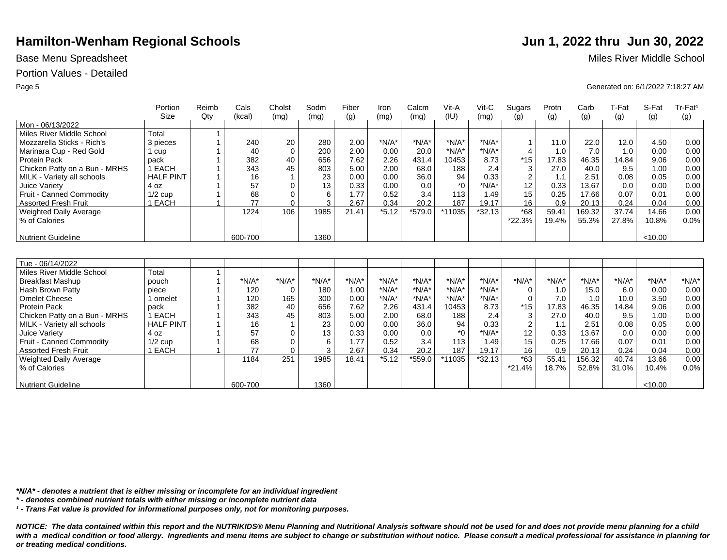## Portion Values - Detailed

|                               | Portion          | Reimb | Cals    | Cholst      | Sodm            | Fiber   | Iron    | Calcm   | Vit-A        | Vit-C    | Sugars                  | Protn   | Carb    | T-Fat   | S-Fat   | Tr-Fat <sup>1</sup> |
|-------------------------------|------------------|-------|---------|-------------|-----------------|---------|---------|---------|--------------|----------|-------------------------|---------|---------|---------|---------|---------------------|
|                               | Size             | Qtv   | (kcal)  | (mq)        | (mq)            | (q)     | (mg)    | (mq)    | (IU)         | (mq)     | (q)                     | (q)     | (q)     | (q)     | (q)     | (q)                 |
| Mon - 06/13/2022              |                  |       |         |             |                 |         |         |         |              |          |                         |         |         |         |         |                     |
| Miles River Middle School     | Total            |       |         |             |                 |         |         |         |              |          |                         |         |         |         |         |                     |
| Mozzarella Sticks - Rich's    | 3 pieces         |       | 240     | 20          | 280             | 2.00    | $*N/A*$ | $*N/A*$ | $*N/A*$      | $*N/A*$  | $\mathbf{1}$            | 11.0    | 22.0    | 12.0    | 4.50    | 0.00                |
| Marinara Cup - Red Gold       | 1 cup            |       | 40      | $\Omega$    | 200             | 2.00    | 0.00    | 20.0    | $*N/A*$      | $*N/A*$  | $\overline{4}$          | 1.0     | 7.0     | 1.0     | 0.00    | 0.00                |
| <b>Protein Pack</b>           | pack             |       | 382     | 40          | 656             | 7.62    | 2.26    | 431.4   | 10453        | 8.73     | $*15$                   | 17.83   | 46.35   | 14.84   | 9.06    | 0.00                |
| Chicken Patty on a Bun - MRHS | 1 EACH           |       | 343     | 45          | 803             | 5.00    | 2.00    | 68.0    | 188          | 2.4      | 3                       | 27.0    | 40.0    | 9.5     | 1.00    | 0.00                |
| MILK - Variety all schools    | <b>HALF PINT</b> |       | 16      |             | 23              | 0.00    | 0.00    | 36.0    | 94           | 0.33     | $\sqrt{2}$              | 1.1     | 2.51    | 0.08    | 0.05    | 0.00                |
| Juice Variety                 | 4 oz             |       | 57      | $\Omega$    | 13              | 0.33    | 0.00    | 0.0     | $*$ $\Omega$ | $*N/A*$  | 12                      | 0.33    | 13.67   | 0.0     | 0.00    | 0.00                |
| Fruit - Canned Commodity      | $1/2$ cup        |       | 68      | $\mathbf 0$ | 6               | 1.77    | 0.52    | 3.4     | 113          | 1.49     | 15                      | 0.25    | 17.66   | 0.07    | 0.01    | 0.00                |
| <b>Assorted Fresh Fruit</b>   | 1 EACH           |       | 77      | $\Omega$    | 3               | 2.67    | 0.34    | 20.2    | 187          | 19.17    | 16                      | 0.9     | 20.13   | 0.24    | 0.04    | 0.00                |
| <b>Weighted Daily Average</b> |                  |       | 1224    | 106         | 1985            | 21.41   | $*5.12$ | *579.0  | *11035       | $*32.13$ | $*68$                   | 59.41   | 169.32  | 37.74   | 14.66   | 0.00                |
| % of Calories                 |                  |       |         |             |                 |         |         |         |              |          | *22.3%                  | 19.4%   | 55.3%   | 27.8%   | 10.8%   | 0.0%                |
|                               |                  |       |         |             |                 |         |         |         |              |          |                         |         |         |         |         |                     |
| Nutrient Guideline            |                  |       | 600-700 |             | 1360            |         |         |         |              |          |                         |         |         |         | < 10.00 |                     |
|                               |                  |       |         |             |                 |         |         |         |              |          |                         |         |         |         |         |                     |
|                               |                  |       |         |             |                 |         |         |         |              |          |                         |         |         |         |         |                     |
| Tue - 06/14/2022              |                  |       |         |             |                 |         |         |         |              |          |                         |         |         |         |         |                     |
| Miles River Middle School     | Total            |       |         |             |                 |         |         |         |              |          |                         |         |         |         |         |                     |
| <b>Breakfast Mashup</b>       | pouch            |       | $*N/A*$ | $*N/A*$     | $*N/A*$         | $*N/A*$ | $*N/A*$ | $*N/A*$ | $*N/A*$      | $*N/A*$  | $*N/A*$                 | $*N/A*$ | $*N/A*$ | $*N/A*$ | $*N/A*$ | $*N/A*$             |
| Hash Brown Patty              | piece            |       | 120     | $\mathbf 0$ | 180             | 1.00    | $*N/A*$ | $*N/A*$ | $*N/A*$      | $*N/A*$  | 0                       | 1.0     | 15.0    | 6.0     | 0.00    | 0.00                |
| <b>Omelet Cheese</b>          | 1 omelet         |       | 120     | 165         | 300             | 0.00    | $*N/A*$ | $*N/A*$ | $*N/A*$      | $*N/A*$  | $\mathbf 0$             | 7.0     | 1.0     | 10.0    | 3.50    | 0.00                |
| <b>Protein Pack</b>           | pack             |       | 382     | 40          | 656             | 7.62    | 2.26    | 431.4   | 10453        | 8.73     | $*15$                   | 17.83   | 46.35   | 14.84   | 9.06    | 0.00                |
| Chicken Patty on a Bun - MRHS | 1 EACH           |       | 343     | 45          | 803             | 5.00    | 2.00    | 68.0    | 188          | 2.4      | 3                       | 27.0    | 40.0    | 9.5     | 1.00    | 0.00                |
| MILK - Variety all schools    | <b>HALF PINT</b> |       | 16      |             | 23              | 0.00    | 0.00    | 36.0    | 94           | 0.33     | $\overline{\mathbf{c}}$ | 1.1     | 2.51    | 0.08    | 0.05    | 0.00                |
| Juice Variety                 | 4 oz             |       | 57      | $\Omega$    | 13              | 0.33    | 0.00    | 0.0     | $*$ $\Omega$ | $*N/A*$  | 12                      | 0.33    | 13.67   | 0.0     | 0.00    | 0.00                |
| Fruit - Canned Commodity      | $1/2$ cup        |       | 68      | $\Omega$    | $6\phantom{1}6$ | 1.77    | 0.52    | 3.4     | 113          | 1.49     | 15                      | 0.25    | 17.66   | 0.07    | 0.01    | 0.00                |
| <b>Assorted Fresh Fruit</b>   | 1 EACH           |       | 77      | $\Omega$    | 3               | 2.67    | 0.34    | 20.2    | 187          | 19.17    | 16                      | 0.9     | 20.13   | 0.24    | 0.04    | 0.00                |
| <b>Weighted Daily Average</b> |                  |       | 1184    | 251         | 1985            | 18.41   | $*5.12$ | *559.0  | *11035       | $*32.13$ | $*63$                   | 55.41   | 156.32  | 40.74   | 13.66   | 0.00                |
| % of Calories                 |                  |       |         |             |                 |         |         |         |              |          | $*21.4%$                | 18.7%   | 52.8%   | 31.0%   | 10.4%   | 0.0%                |
|                               |                  |       |         |             |                 |         |         |         |              |          |                         |         |         |         |         |                     |
| Nutrient Guideline            |                  |       | 600-700 |             | 1360            |         |         |         |              |          |                         |         |         |         | < 10.00 |                     |

*\*N/A\* - denotes a nutrient that is either missing or incomplete for an individual ingredient*

*\* - denotes combined nutrient totals with either missing or incomplete nutrient data*

*¹ - Trans Fat value is provided for informational purposes only, not for monitoring purposes.*

*NOTICE: The data contained within this report and the NUTRIKIDS® Menu Planning and Nutritional Analysis software should not be used for and does not provide menu planning for a child*  with a medical condition or food allergy. Ingredients and menu items are subject to change or substitution without notice. Please consult a medical professional for assistance in planning for *or treating medical conditions.*

Base Menu Spreadsheet **Miles River Middle School** 

Page 5 Generated on: 6/1/2022 7:18:27 AM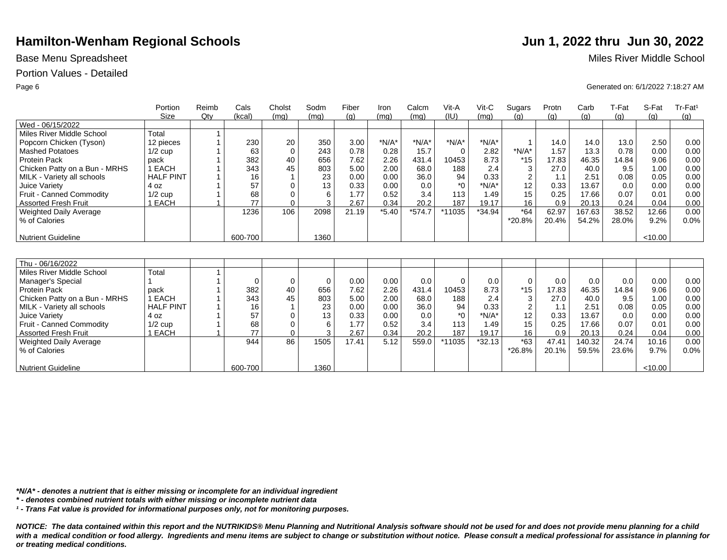## Portion Values - Detailed

|                               | Portion<br>Size  | Reimb<br>Qtv | Cals<br>(kcal) | Cholst<br>(mq) | Sodm<br>(mq) | Fiber<br>(q) | Iron<br>(mq) | Calcm<br>(mq) | Vit-A<br>(IU) | $V$ it-C<br>(mq) | Sugars<br>(q)             | Protn<br>(g) | Carb<br>(g) | T-Fat<br>(q) | S-Fat<br>(g) | Tr-Fat <sup>1</sup><br>(g) |
|-------------------------------|------------------|--------------|----------------|----------------|--------------|--------------|--------------|---------------|---------------|------------------|---------------------------|--------------|-------------|--------------|--------------|----------------------------|
| Wed - 06/15/2022              |                  |              |                |                |              |              |              |               |               |                  |                           |              |             |              |              |                            |
| Miles River Middle School     | Total            |              |                |                |              |              |              |               |               |                  |                           |              |             |              |              |                            |
| Popcorn Chicken (Tyson)       | 12 pieces        |              | 230            | 20             | 350          | 3.00         | $*N/A*$      | $*N/A*$       | $*N/A*$       | $*N/A*$          |                           | 14.0         | 14.0        | 13.0         | 2.50         | 0.00                       |
| <b>Mashed Potatoes</b>        | $1/2$ cup        |              | 63             | $\Omega$       | 243          | 0.78         | 0.28         | 15.7          | $\Omega$      | 2.82             | $*N/A*$                   | 1.57         | 13.3        | 0.78         | 0.00         | 0.00                       |
| <b>Protein Pack</b>           | pack             |              | 382            | 40             | 656          | 7.62         | 2.26         | 431.4         | 10453         | 8.73             | $*15$                     | 17.83        | 46.35       | 14.84        | 9.06         | 0.00                       |
| Chicken Patty on a Bun - MRHS | 1 EACH           |              | 343            | 45             | 803          | 5.00         | 2.00         | 68.0          | 188           | 2.4              | $\ensuremath{\mathsf{3}}$ | 27.0         | 40.0        | 9.5          | 1.00         | 0.00                       |
| MILK - Variety all schools    | <b>HALF PINT</b> |              | 16             |                | 23           | 0.00         | 0.00         | 36.0          | 94            | 0.33             | $\sqrt{2}$                | 1.1          | 2.51        | 0.08         | 0.05         | 0.00                       |
| Juice Variety                 | 4 oz             |              | 57             | $\Omega$       | 13           | 0.33         | 0.00         | 0.0           | $*$ $\Omega$  | $*N/A*$          | 12                        | 0.33         | 13.67       | 0.0          | 0.00         | 0.00                       |
| Fruit - Canned Commodity      | $1/2$ cup        |              | 68             | $\Omega$       | 6            | 1.77         | 0.52         | 3.4           | 113           | 1.49             | 15                        | 0.25         | 17.66       | 0.07         | 0.01         | 0.00                       |
| <b>Assorted Fresh Fruit</b>   | 1 EACH           |              | 77             | $\Omega$       | 3            | 2.67         | 0.34         | 20.2          | 187           | 19.17            | 16                        | 0.9          | 20.13       | 0.24         | 0.04         | 0.00                       |
| <b>Weighted Daily Average</b> |                  |              | 1236           | 106            | 2098         | 21.19        | $*5.40$      | $*574.7$      | *11035        | $*34.94$         | $*64$                     | 62.97        | 167.63      | 38.52        | 12.66        | 0.00                       |
| % of Calories                 |                  |              |                |                |              |              |              |               |               |                  | *20.8%                    | 20.4%        | 54.2%       | 28.0%        | 9.2%         | 0.0%                       |
|                               |                  |              |                |                |              |              |              |               |               |                  |                           |              |             |              |              |                            |
| <b>Nutrient Guideline</b>     |                  |              | 600-700        |                | 1360         |              |              |               |               |                  |                           |              |             |              | < 10.00      |                            |
|                               |                  |              |                |                |              |              |              |               |               |                  |                           |              |             |              |              |                            |
| Thu - 06/16/2022              |                  |              |                |                |              |              |              |               |               |                  |                           |              |             |              |              |                            |
| Miles River Middle School     | Total            |              |                |                |              |              |              |               |               |                  |                           |              |             |              |              |                            |
| Manager's Special             |                  |              | $\Omega$       | 0              | $\mathbf 0$  | 0.00         | 0.00         | 0.0           | $\Omega$      | 0.0              | $\mathbf 0$               | 0.0          | 0.0         | 0.0          | 0.00         | 0.00                       |
| Protein Pack                  | pack             |              | 382            | 40             | 656          | 7.62         | 2.26         | 431.4         | 10453         | 8.73             | $*15$                     | 17.83        | 46.35       | 14.84        | 9.06         | 0.00                       |
| Chicken Patty on a Bun - MRHS | 1 EACH           |              | 343            | 45             | 803          | 5.00         | 2.00         | 68.0          | 188           | 2.4              | 3                         | 27.0         | 40.0        | 9.5          | 1.00         | 0.00                       |
| MILK - Variety all schools    | <b>HALF PINT</b> |              | 16             |                | 23           | 0.00         | 0.00         | 36.0          | 94            | 0.33             | $\overline{2}$            | 1.1          | 2.51        | 0.08         | 0.05         | 0.00                       |
| Juice Variety                 | 4 oz             |              | 57             | $\Omega$       | 13           | 0.33         | 0.00         | 0.0           | $^*0$         | $*N/A*$          | 12                        | 0.33         | 13.67       | 0.0          | 0.00         | 0.00                       |
| Fruit - Canned Commodity      | $1/2$ cup        |              | 68             | $\Omega$       | 6            | 1.77         | 0.52         | 3.4           | 113           | 1.49             | 15                        | 0.25         | 17.66       | 0.07         | 0.01         | 0.00                       |
| <b>Assorted Fresh Fruit</b>   | 1 EACH           |              | 77             | $\Omega$       | 3            | 2.67         | 0.34         | 20.2          | 187           | 19.17            | 16                        | 0.9          | 20.13       | 0.24         | 0.04         | 0.00                       |
| Weighted Daily Average        |                  |              | 944            | 86             | 1505         | 17.41        | 5.12         | 559.0         | *11035        | $*32.13$         | $*63$                     | 47.41        | 140.32      | 24.74        | 10.16        | 0.00                       |
| % of Calories                 |                  |              |                |                |              |              |              |               |               |                  | *26.8%                    | 20.1%        | 59.5%       | 23.6%        | 9.7%         | 0.0%                       |
|                               |                  |              |                |                |              |              |              |               |               |                  |                           |              |             |              |              |                            |
| <b>Nutrient Guideline</b>     |                  |              | 600-700        |                | 1360         |              |              |               |               |                  |                           |              |             |              | < 10.00      |                            |

*\*N/A\* - denotes a nutrient that is either missing or incomplete for an individual ingredient*

*\* - denotes combined nutrient totals with either missing or incomplete nutrient data*

*¹ - Trans Fat value is provided for informational purposes only, not for monitoring purposes.*

*NOTICE: The data contained within this report and the NUTRIKIDS® Menu Planning and Nutritional Analysis software should not be used for and does not provide menu planning for a child*  with a medical condition or food allergy. Ingredients and menu items are subject to change or substitution without notice. Please consult a medical professional for assistance in planning for *or treating medical conditions.*

Base Menu Spreadsheet **Miles River Middle School** 

Page 6 Generated on: 6/1/2022 7:18:27 AM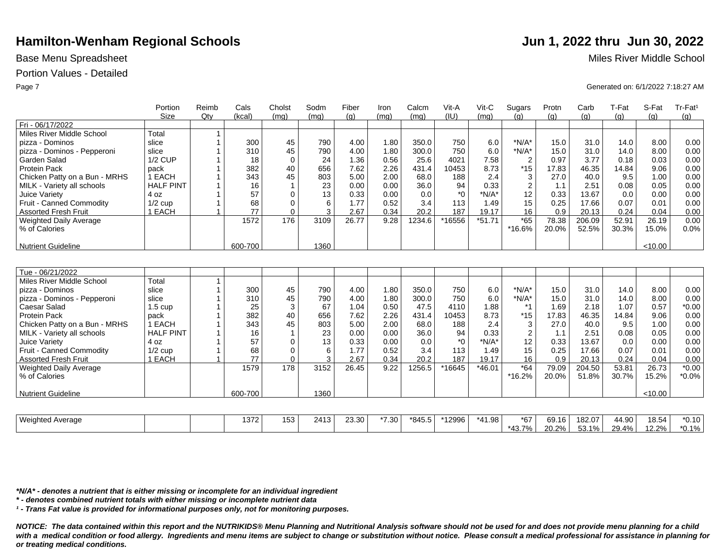## Portion Values - Detailed

|                               |                   | Reimb  | Cals    | Cholst         | Sodm | Fiber | Iron | Calcm  | Vit-A   | $V$ it-C | Sugars         | Protn | Carb   | T-Fat | S-Fat   | Tr-Fat <sup>1</sup> |
|-------------------------------|-------------------|--------|---------|----------------|------|-------|------|--------|---------|----------|----------------|-------|--------|-------|---------|---------------------|
|                               | Size              | $Q$ ty | (kcal)  | (mq)           | (mq) | (q)   | (mq) | (mq)   | (IU)    | (mq)     | (q)            | (q)   | (q)    | (q)   | (g)     | (q)                 |
| Fri - 06/17/2022              |                   |        |         |                |      |       |      |        |         |          |                |       |        |       |         |                     |
| Miles River Middle School     | Total             |        |         |                |      |       |      |        |         |          |                |       |        |       |         |                     |
| pizza - Dominos               | slice             |        | 300     | 45             | 790  | 4.00  | 1.80 | 350.0  | 750     | 6.0      | $*N/A*$        | 15.0  | 31.0   | 14.0  | 8.00    | 0.00                |
| pizza - Dominos - Pepperoni   | slice             |        | 310     | 45             | 790  | 4.00  | 1.80 | 300.0  | 750     | 6.0      | $*N/A*$        | 15.0  | 31.0   | 14.0  | 8.00    | 0.00                |
| Garden Salad                  | <b>1/2 CUP</b>    |        | 18      | $\mathbf 0$    | 24   | 1.36  | 0.56 | 25.6   | 4021    | 7.58     | $\overline{2}$ | 0.97  | 3.77   | 0.18  | 0.03    | 0.00                |
| <b>Protein Pack</b>           | pack              |        | 382     | 40             | 656  | 7.62  | 2.26 | 431.4  | 10453   | 8.73     | $*15$          | 17.83 | 46.35  | 14.84 | 9.06    | 0.00                |
| Chicken Patty on a Bun - MRHS | 1 EACH            |        | 343     | 45             | 803  | 5.00  | 2.00 | 68.0   | 188     | 2.4      | $\sqrt{3}$     | 27.0  | 40.0   | 9.5   | 1.00    | 0.00                |
| MILK - Variety all schools    | <b>HALF PINT</b>  |        | 16      | $\overline{1}$ | 23   | 0.00  | 0.00 | 36.0   | 94      | 0.33     | $\overline{2}$ | 1.1   | 2.51   | 0.08  | 0.05    | 0.00                |
| Juice Variety                 | 4 oz              |        | 57      | $\Omega$       | 13   | 0.33  | 0.00 | 0.0    | *Ω      | $*N/A*$  | 12             | 0.33  | 13.67  | 0.0   | 0.00    | 0.00                |
| Fruit - Canned Commodity      | $1/2$ cup         |        | 68      | $\mathbf 0$    | 6    | 1.77  | 0.52 | 3.4    | 113     | 1.49     | 15             | 0.25  | 17.66  | 0.07  | 0.01    | 0.00                |
| <b>Assorted Fresh Fruit</b>   | 1 EACH            |        | 77      | $\Omega$       | 3    | 2.67  | 0.34 | 20.2   | 187     | 19.17    | 16             | 0.9   | 20.13  | 0.24  | 0.04    | 0.00                |
| <b>Weighted Daily Average</b> |                   |        | 1572    | 176            | 3109 | 26.77 | 9.28 | 1234.6 | *16556  | $*51.71$ | $*65$          | 78.38 | 206.09 | 52.91 | 26.19   | 0.00                |
| % of Calories                 |                   |        |         |                |      |       |      |        |         |          | *16.6%         | 20.0% | 52.5%  | 30.3% | 15.0%   | 0.0%                |
| <b>Nutrient Guideline</b>     |                   |        | 600-700 |                | 1360 |       |      |        |         |          |                |       |        |       | < 10.00 |                     |
|                               |                   |        |         |                |      |       |      |        |         |          |                |       |        |       |         |                     |
| Tue - 06/21/2022              |                   |        |         |                |      |       |      |        |         |          |                |       |        |       |         |                     |
| Miles River Middle School     | Total             |        |         |                |      |       |      |        |         |          |                |       |        |       |         |                     |
| pizza - Dominos               | slice             |        | 300     | 45             | 790  | 4.00  | 1.80 | 350.0  | 750     | 6.0      | $*N/A*$        | 15.0  | 31.0   | 14.0  | 8.00    | 0.00                |
| pizza - Dominos - Pepperoni   | slice             |        | 310     | 45             | 790  | 4.00  | 1.80 | 300.0  | 750     | 6.0      | $*N/A*$        | 15.0  | 31.0   | 14.0  | 8.00    | 0.00                |
| Caesar Salad                  | $1.5 \text{ cup}$ |        | 25      | 3              | 67   | 1.04  | 0.50 | 47.5   | 4110    | 1.88     | $*_{1}$        | 1.69  | 2.18   | 1.07  | 0.57    | $*0.00$             |
| Protein Pack                  | pack              |        | 382     | 40             | 656  | 7.62  | 2.26 | 431.4  | 10453   | 8.73     | $*15$          | 17.83 | 46.35  | 14.84 | 9.06    | 0.00                |
| Chicken Patty on a Bun - MRHS | 1 EACH            |        | 343     | 45             | 803  | 5.00  | 2.00 | 68.0   | 188     | 2.4      | 3              | 27.0  | 40.0   | 9.5   | 1.00    | 0.00                |
| MILK - Variety all schools    | <b>HALF PINT</b>  |        | 16      | 1              | 23   | 0.00  | 0.00 | 36.0   | 94      | 0.33     | $\overline{2}$ | 1.1   | 2.51   | 0.08  | 0.05    | 0.00                |
| Juice Variety                 | 4 oz              |        | 57      | $\Omega$       | 13   | 0.33  | 0.00 | 0.0    | $*_{0}$ | $*N/A*$  | 12             | 0.33  | 13.67  | 0.0   | 0.00    | 0.00                |
| Fruit - Canned Commodity      | $1/2$ cup         |        | 68      | 0              | 6    | 1.77  | 0.52 | 3.4    | 113     | 1.49     | 15             | 0.25  | 17.66  | 0.07  | 0.01    | 0.00                |
| <b>Assorted Fresh Fruit</b>   | 1 EACH            |        | 77      | $\mathbf 0$    | 3    | 2.67  | 0.34 | 20.2   | 187     | 19.17    | 16             | 0.9   | 20.13  | 0.24  | 0.04    | 0.00                |
| <b>Weighted Daily Average</b> |                   |        | 1579    | 178            | 3152 | 26.45 | 9.22 | 1256.5 | *16645  | $*46.01$ | $*64$          | 79.09 | 204.50 | 53.81 | 26.73   | $*0.00$             |
| % of Calories                 |                   |        |         |                |      |       |      |        |         |          | $*16.2%$       | 20.0% | 51.8%  | 30.7% | 15.2%   | $*0.0\%$            |
| <b>Nutrient Guideline</b>     |                   |        | 600-700 |                | 1360 |       |      |        |         |          |                |       |        |       | < 10.00 |                     |
|                               |                   |        |         |                |      |       |      |        |         |          |                |       |        |       |         |                     |

| Weighted Average | 0.70<br>ے ات | $-0$<br>∣ວວ | <b>CNC</b><br>. د ۱ ۲ | 23.30 | $*7.30$ .<br>ى. | $*845.5$ | *12996 | $*AA$<br>$1.98^+$<br>$\overline{ }$ | $*67$             | 69.16 | 182.07    | 44.90 | 18.54 | $*0.10$       |
|------------------|--------------|-------------|-----------------------|-------|-----------------|----------|--------|-------------------------------------|-------------------|-------|-----------|-------|-------|---------------|
|                  |              |             |                       |       |                 |          |        |                                     | $30 - 70$<br>30.، | 20.2% | .10/<br>ີ | 29.4% | 12.2% | ነ 1%<br>,,,,u |

*\*N/A\* - denotes a nutrient that is either missing or incomplete for an individual ingredient*

*\* - denotes combined nutrient totals with either missing or incomplete nutrient data*

*¹ - Trans Fat value is provided for informational purposes only, not for monitoring purposes.*

*NOTICE: The data contained within this report and the NUTRIKIDS® Menu Planning and Nutritional Analysis software should not be used for and does not provide menu planning for a child*  with a medical condition or food allergy. Ingredients and menu items are subject to change or substitution without notice. Please consult a medical professional for assistance in planning for *or treating medical conditions.*

Base Menu Spreadsheet **Miles River Middle School** 

Page 7 Generated on: 6/1/2022 7:18:27 AM